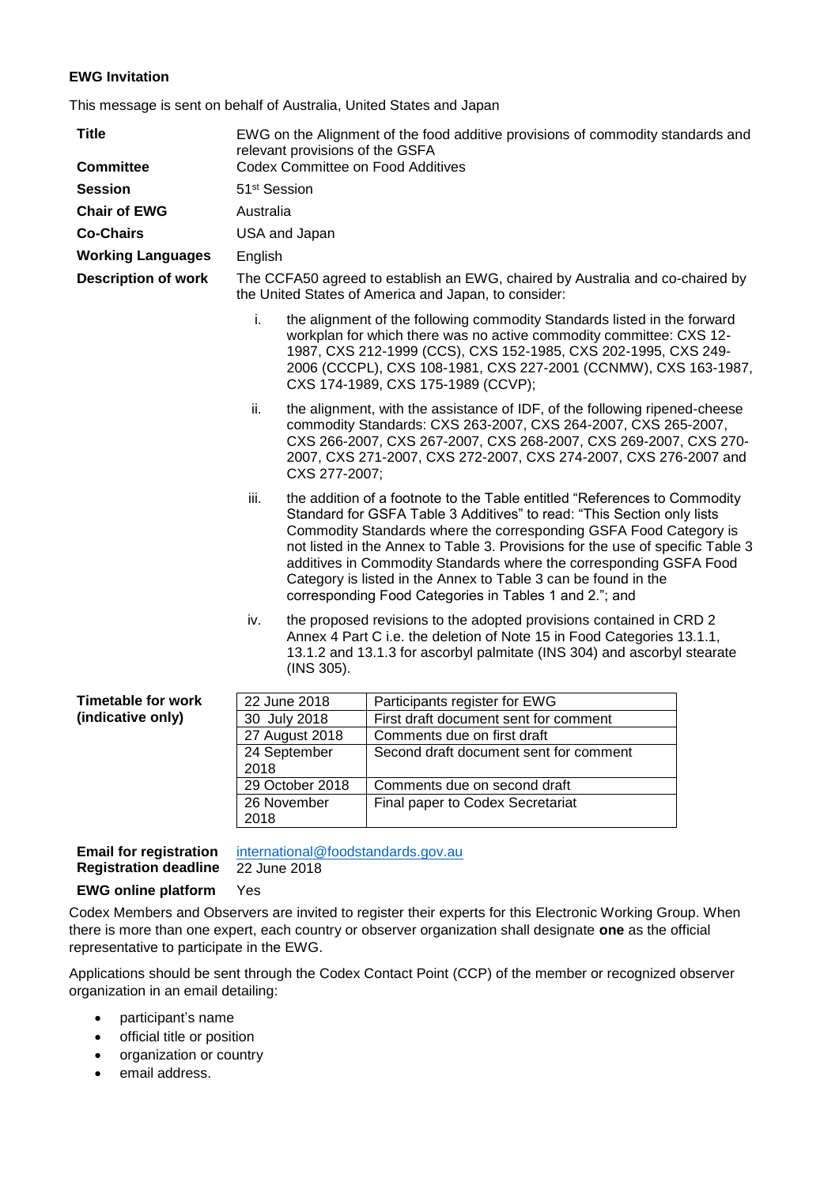## **EWG Invitation**

This message is sent on behalf of Australia, United States and Japan

| <b>Title</b>                                                  | EWG on the Alignment of the food additive provisions of commodity standards and<br>relevant provisions of the GSFA                    |                                                                                                                                                                                                                                                                                                                                                                                                                                                                                                               |                                        |  |
|---------------------------------------------------------------|---------------------------------------------------------------------------------------------------------------------------------------|---------------------------------------------------------------------------------------------------------------------------------------------------------------------------------------------------------------------------------------------------------------------------------------------------------------------------------------------------------------------------------------------------------------------------------------------------------------------------------------------------------------|----------------------------------------|--|
| <b>Committee</b>                                              | <b>Codex Committee on Food Additives</b>                                                                                              |                                                                                                                                                                                                                                                                                                                                                                                                                                                                                                               |                                        |  |
| <b>Session</b>                                                | 51 <sup>st</sup> Session                                                                                                              |                                                                                                                                                                                                                                                                                                                                                                                                                                                                                                               |                                        |  |
| <b>Chair of EWG</b>                                           | Australia                                                                                                                             |                                                                                                                                                                                                                                                                                                                                                                                                                                                                                                               |                                        |  |
| <b>Co-Chairs</b>                                              | USA and Japan                                                                                                                         |                                                                                                                                                                                                                                                                                                                                                                                                                                                                                                               |                                        |  |
| <b>Working Languages</b>                                      | English                                                                                                                               |                                                                                                                                                                                                                                                                                                                                                                                                                                                                                                               |                                        |  |
| <b>Description of work</b>                                    | The CCFA50 agreed to establish an EWG, chaired by Australia and co-chaired by<br>the United States of America and Japan, to consider: |                                                                                                                                                                                                                                                                                                                                                                                                                                                                                                               |                                        |  |
|                                                               | i.                                                                                                                                    | the alignment of the following commodity Standards listed in the forward<br>workplan for which there was no active commodity committee: CXS 12-<br>1987, CXS 212-1999 (CCS), CXS 152-1985, CXS 202-1995, CXS 249-<br>2006 (CCCPL), CXS 108-1981, CXS 227-2001 (CCNMW), CXS 163-1987,<br>CXS 174-1989, CXS 175-1989 (CCVP);                                                                                                                                                                                    |                                        |  |
|                                                               | ii.                                                                                                                                   | the alignment, with the assistance of IDF, of the following ripened-cheese<br>commodity Standards: CXS 263-2007, CXS 264-2007, CXS 265-2007,<br>CXS 266-2007, CXS 267-2007, CXS 268-2007, CXS 269-2007, CXS 270-<br>2007, CXS 271-2007, CXS 272-2007, CXS 274-2007, CXS 276-2007 and<br>CXS 277-2007:                                                                                                                                                                                                         |                                        |  |
|                                                               | iii.                                                                                                                                  | the addition of a footnote to the Table entitled "References to Commodity"<br>Standard for GSFA Table 3 Additives" to read: "This Section only lists<br>Commodity Standards where the corresponding GSFA Food Category is<br>not listed in the Annex to Table 3. Provisions for the use of specific Table 3<br>additives in Commodity Standards where the corresponding GSFA Food<br>Category is listed in the Annex to Table 3 can be found in the<br>corresponding Food Categories in Tables 1 and 2."; and |                                        |  |
|                                                               | iv.                                                                                                                                   | the proposed revisions to the adopted provisions contained in CRD 2<br>Annex 4 Part C i.e. the deletion of Note 15 in Food Categories 13.1.1,<br>13.1.2 and 13.1.3 for ascorbyl palmitate (INS 304) and ascorbyl stearate<br>(INS 305).                                                                                                                                                                                                                                                                       |                                        |  |
| <b>Timetable for work</b><br>(indicative only)                |                                                                                                                                       | 22 June 2018                                                                                                                                                                                                                                                                                                                                                                                                                                                                                                  | Participants register for EWG          |  |
|                                                               | 30 July 2018                                                                                                                          |                                                                                                                                                                                                                                                                                                                                                                                                                                                                                                               | First draft document sent for comment  |  |
|                                                               | 27 August 2018                                                                                                                        |                                                                                                                                                                                                                                                                                                                                                                                                                                                                                                               | Comments due on first draft            |  |
|                                                               | 24 September<br>2018                                                                                                                  |                                                                                                                                                                                                                                                                                                                                                                                                                                                                                                               | Second draft document sent for comment |  |
|                                                               | 29 October 2018                                                                                                                       |                                                                                                                                                                                                                                                                                                                                                                                                                                                                                                               | Comments due on second draft           |  |
|                                                               | 26 November                                                                                                                           |                                                                                                                                                                                                                                                                                                                                                                                                                                                                                                               | Final paper to Codex Secretariat       |  |
|                                                               | 2018                                                                                                                                  |                                                                                                                                                                                                                                                                                                                                                                                                                                                                                                               |                                        |  |
| <b>Email for registration</b><br><b>Registration deadline</b> | international@foodstandards.gov.au<br>22 June 2018                                                                                    |                                                                                                                                                                                                                                                                                                                                                                                                                                                                                                               |                                        |  |
| <b>EWG online platform</b>                                    | Yes                                                                                                                                   |                                                                                                                                                                                                                                                                                                                                                                                                                                                                                                               |                                        |  |

Codex Members and Observers are invited to register their experts for this Electronic Working Group. When there is more than one expert, each country or observer organization shall designate **one** as the official representative to participate in the EWG.

Applications should be sent through the Codex Contact Point (CCP) of the member or recognized observer organization in an email detailing:

- participant's name
- official title or position
- organization or country
- **email address.**